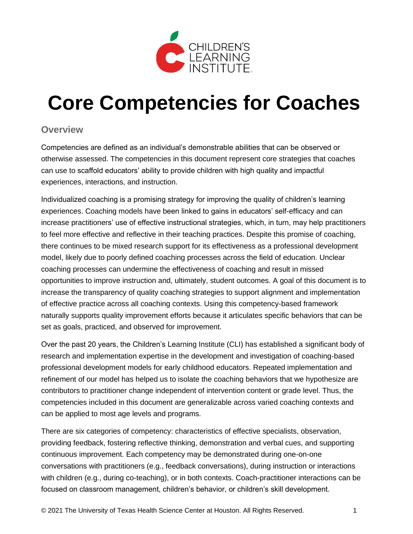

# **Core Competencies for Coaches**

#### **Overview**

Competencies are defined as an individual's demonstrable abilities that can be observed or otherwise assessed. The competencies in this document represent core strategies that coaches can use to scaffold educators' ability to provide children with high quality and impactful experiences, interactions, and instruction.

Individualized coaching is a promising strategy for improving the quality of children's learning experiences. Coaching models have been linked to gains in educators' self-efficacy and can increase practitioners' use of effective instructional strategies, which, in turn, may help practitioners to feel more effective and reflective in their teaching practices. Despite this promise of coaching, there continues to be mixed research support for its effectiveness as a professional development model, likely due to poorly defined coaching processes across the field of education. Unclear coaching processes can undermine the effectiveness of coaching and result in missed opportunities to improve instruction and, ultimately, student outcomes. A goal of this document is to increase the transparency of quality coaching strategies to support alignment and implementation of effective practice across all coaching contexts. Using this competency-based framework naturally supports quality improvement efforts because it articulates specific behaviors that can be set as goals, practiced, and observed for improvement.

Over the past 20 years, the Children's Learning Institute (CLI) has established a significant body of research and implementation expertise in the development and investigation of coaching-based professional development models for early childhood educators. Repeated implementation and refinement of our model has helped us to isolate the coaching behaviors that we hypothesize are contributors to practitioner change independent of intervention content or grade level. Thus, the competencies included in this document are generalizable across varied coaching contexts and can be applied to most age levels and programs.

There are six categories of competency: characteristics of effective specialists, observation, providing feedback, fostering reflective thinking, demonstration and verbal cues, and supporting continuous improvement. Each competency may be demonstrated during one-on-one conversations with practitioners (e.g., feedback conversations), during instruction or interactions with children (e.g., during co-teaching), or in both contexts. Coach-practitioner interactions can be focused on classroom management, children's behavior, or children's skill development.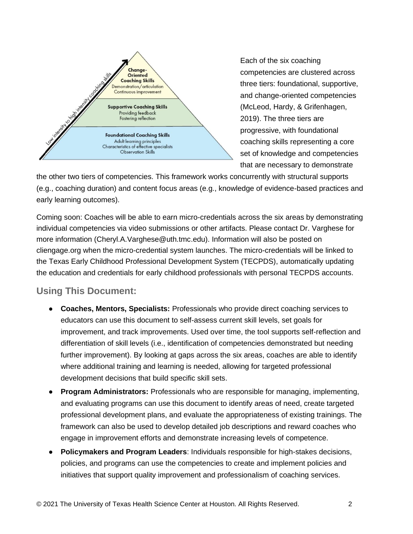

Each of the six coaching competencies are clustered across three tiers: foundational, supportive, and change-oriented competencies (McLeod, Hardy, & Grifenhagen, 2019). The three tiers are progressive, with foundational coaching skills representing a core set of knowledge and competencies that are necessary to demonstrate

the other two tiers of competencies. This framework works concurrently with structural supports (e.g., coaching duration) and content focus areas (e.g., knowledge of evidence-based practices and early learning outcomes).

Coming soon: Coaches will be able to earn micro-credentials across the six areas by demonstrating individual competencies via video submissions or other artifacts. Please contact Dr. Varghese for more information (Cheryl.A.Varghese@uth.tmc.edu). Information will also be posted on cliengage.org when the micro-credential system launches. The micro-credentials will be linked to the Texas Early Childhood Professional Development System (TECPDS), automatically updating the education and credentials for early childhood professionals with personal TECPDS accounts.

#### **Using This Document:**

- **Coaches, Mentors, Specialists:** Professionals who provide direct coaching services to educators can use this document to self-assess current skill levels, set goals for improvement, and track improvements. Used over time, the tool supports self-reflection and differentiation of skill levels (i.e., identification of competencies demonstrated but needing further improvement). By looking at gaps across the six areas, coaches are able to identify where additional training and learning is needed, allowing for targeted professional development decisions that build specific skill sets.
- **Program Administrators:** Professionals who are responsible for managing, implementing, and evaluating programs can use this document to identify areas of need, create targeted professional development plans, and evaluate the appropriateness of existing trainings. The framework can also be used to develop detailed job descriptions and reward coaches who engage in improvement efforts and demonstrate increasing levels of competence.
- **Policymakers and Program Leaders**: Individuals responsible for high-stakes decisions, policies, and programs can use the competencies to create and implement policies and initiatives that support quality improvement and professionalism of coaching services.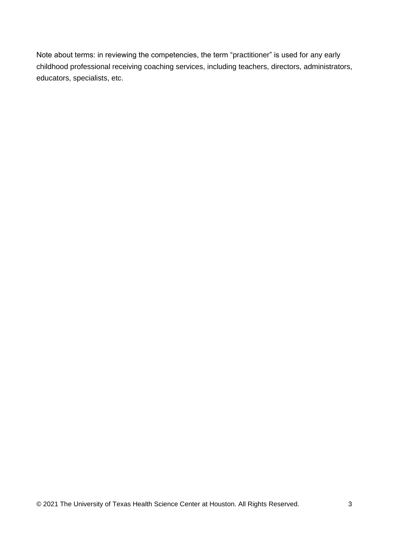Note about terms: in reviewing the competencies, the term "practitioner" is used for any early childhood professional receiving coaching services, including teachers, directors, administrators, educators, specialists, etc.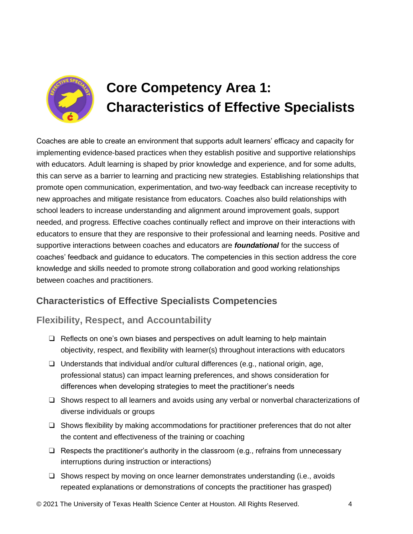

# **Core Competency Area 1: Characteristics of Effective Specialists**

Coaches are able to create an environment that supports adult learners' efficacy and capacity for implementing evidence-based practices when they establish positive and supportive relationships with educators. Adult learning is shaped by prior knowledge and experience, and for some adults, this can serve as a barrier to learning and practicing new strategies. Establishing relationships that promote open communication, experimentation, and two-way feedback can increase receptivity to new approaches and mitigate resistance from educators. Coaches also build relationships with school leaders to increase understanding and alignment around improvement goals, support needed, and progress. Effective coaches continually reflect and improve on their interactions with educators to ensure that they are responsive to their professional and learning needs. Positive and supportive interactions between coaches and educators are *foundational* for the success of coaches' feedback and guidance to educators. The competencies in this section address the core knowledge and skills needed to promote strong collaboration and good working relationships between coaches and practitioners.

# **Characteristics of Effective Specialists Competencies**

### **Flexibility, Respect, and Accountability**

- ❑ Reflects on one's own biases and perspectives on adult learning to help maintain objectivity, respect, and flexibility with learner(s) throughout interactions with educators
- ❑ Understands that individual and/or cultural differences (e.g., national origin, age, professional status) can impact learning preferences, and shows consideration for differences when developing strategies to meet the practitioner's needs
- ❑ Shows respect to all learners and avoids using any verbal or nonverbal characterizations of diverse individuals or groups
- ❑ Shows flexibility by making accommodations for practitioner preferences that do not alter the content and effectiveness of the training or coaching
- ❑ Respects the practitioner's authority in the classroom (e.g., refrains from unnecessary interruptions during instruction or interactions)
- ❑ Shows respect by moving on once learner demonstrates understanding (i.e., avoids repeated explanations or demonstrations of concepts the practitioner has grasped)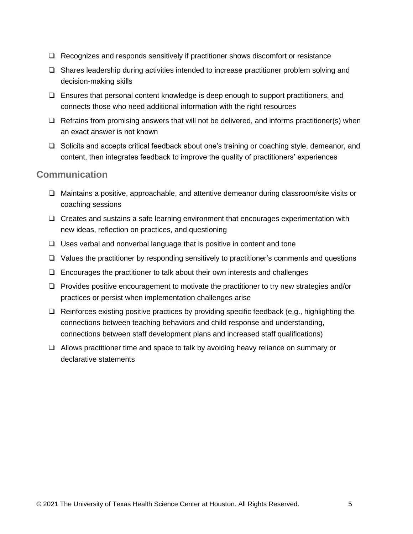- ❑ Recognizes and responds sensitively if practitioner shows discomfort or resistance
- ❑ Shares leadership during activities intended to increase practitioner problem solving and decision-making skills
- ❑ Ensures that personal content knowledge is deep enough to support practitioners, and connects those who need additional information with the right resources
- ❑ Refrains from promising answers that will not be delivered, and informs practitioner(s) when an exact answer is not known
- ❑ Solicits and accepts critical feedback about one's training or coaching style, demeanor, and content, then integrates feedback to improve the quality of practitioners' experiences

#### **Communication**

- ❑ Maintains a positive, approachable, and attentive demeanor during classroom/site visits or coaching sessions
- ❑ Creates and sustains a safe learning environment that encourages experimentation with new ideas, reflection on practices, and questioning
- ❑ Uses verbal and nonverbal language that is positive in content and tone
- ❑ Values the practitioner by responding sensitively to practitioner's comments and questions
- ❑ Encourages the practitioner to talk about their own interests and challenges
- ❑ Provides positive encouragement to motivate the practitioner to try new strategies and/or practices or persist when implementation challenges arise
- ❑ Reinforces existing positive practices by providing specific feedback (e.g., highlighting the connections between teaching behaviors and child response and understanding, connections between staff development plans and increased staff qualifications)
- ❑ Allows practitioner time and space to talk by avoiding heavy reliance on summary or declarative statements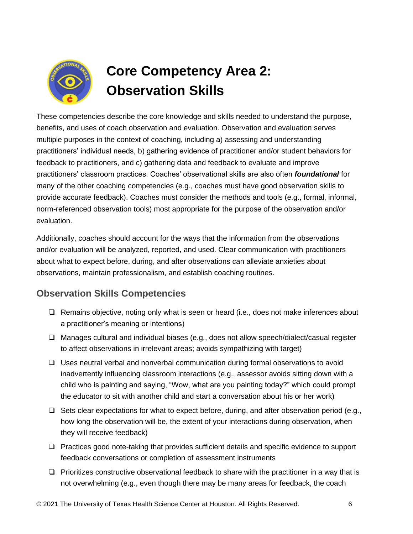

# **Core Competency Area 2: Observation Skills**

These competencies describe the core knowledge and skills needed to understand the purpose, benefits, and uses of coach observation and evaluation. Observation and evaluation serves multiple purposes in the context of coaching, including a) assessing and understanding practitioners' individual needs, b) gathering evidence of practitioner and/or student behaviors for feedback to practitioners, and c) gathering data and feedback to evaluate and improve practitioners' classroom practices. Coaches' observational skills are also often *foundational* for many of the other coaching competencies (e.g., coaches must have good observation skills to provide accurate feedback). Coaches must consider the methods and tools (e.g., formal, informal, norm-referenced observation tools) most appropriate for the purpose of the observation and/or evaluation.

Additionally, coaches should account for the ways that the information from the observations and/or evaluation will be analyzed, reported, and used. Clear communication with practitioners about what to expect before, during, and after observations can alleviate anxieties about observations, maintain professionalism, and establish coaching routines.

# **Observation Skills Competencies**

- ❑ Remains objective, noting only what is seen or heard (i.e., does not make inferences about a practitioner's meaning or intentions)
- ❑ Manages cultural and individual biases (e.g., does not allow speech/dialect/casual register to affect observations in irrelevant areas; avoids sympathizing with target)
- ❑ Uses neutral verbal and nonverbal communication during formal observations to avoid inadvertently influencing classroom interactions (e.g., assessor avoids sitting down with a child who is painting and saying, "Wow, what are you painting today?" which could prompt the educator to sit with another child and start a conversation about his or her work)
- $\Box$  Sets clear expectations for what to expect before, during, and after observation period (e.g., how long the observation will be, the extent of your interactions during observation, when they will receive feedback)
- ❑ Practices good note-taking that provides sufficient details and specific evidence to support feedback conversations or completion of assessment instruments
- $\Box$  Prioritizes constructive observational feedback to share with the practitioner in a way that is not overwhelming (e.g., even though there may be many areas for feedback, the coach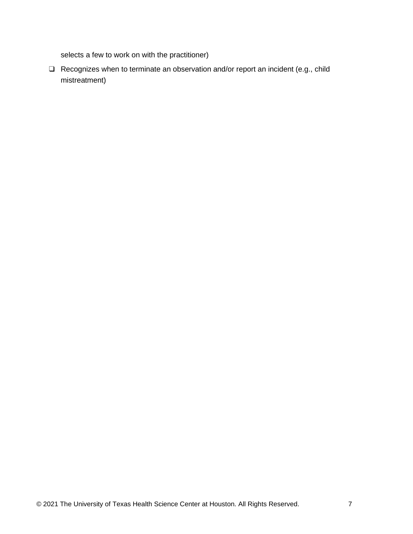selects a few to work on with the practitioner)

❑ Recognizes when to terminate an observation and/or report an incident (e.g., child mistreatment)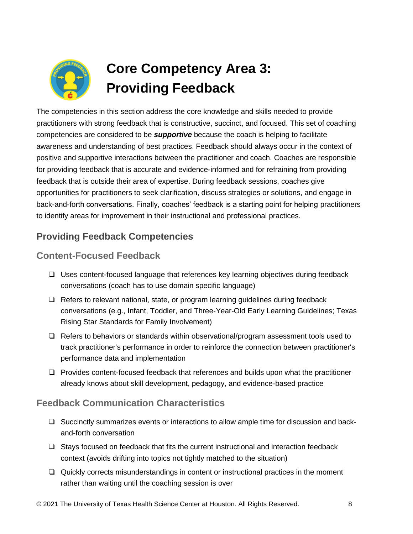

# **Core Competency Area 3: Providing Feedback**

The competencies in this section address the core knowledge and skills needed to provide practitioners with strong feedback that is constructive, succinct, and focused. This set of coaching competencies are considered to be *supportive* because the coach is helping to facilitate awareness and understanding of best practices. Feedback should always occur in the context of positive and supportive interactions between the practitioner and coach. Coaches are responsible for providing feedback that is accurate and evidence-informed and for refraining from providing feedback that is outside their area of expertise. During feedback sessions, coaches give opportunities for practitioners to seek clarification, discuss strategies or solutions, and engage in back-and-forth conversations. Finally, coaches' feedback is a starting point for helping practitioners to identify areas for improvement in their instructional and professional practices.

# **Providing Feedback Competencies**

### **Content-Focused Feedback**

- ❑ Uses content-focused language that references key learning objectives during feedback conversations (coach has to use domain specific language)
- ❑ Refers to relevant national, state, or program learning guidelines during feedback conversations (e.g., Infant, Toddler, and Three-Year-Old Early Learning Guidelines; Texas Rising Star Standards for Family Involvement)
- ❑ Refers to behaviors or standards within observational/program assessment tools used to track practitioner's performance in order to reinforce the connection between practitioner's performance data and implementation
- ❑ Provides content-focused feedback that references and builds upon what the practitioner already knows about skill development, pedagogy, and evidence-based practice

### **Feedback Communication Characteristics**

- ❑ Succinctly summarizes events or interactions to allow ample time for discussion and backand-forth conversation
- ❑ Stays focused on feedback that fits the current instructional and interaction feedback context (avoids drifting into topics not tightly matched to the situation)
- ❑ Quickly corrects misunderstandings in content or instructional practices in the moment rather than waiting until the coaching session is over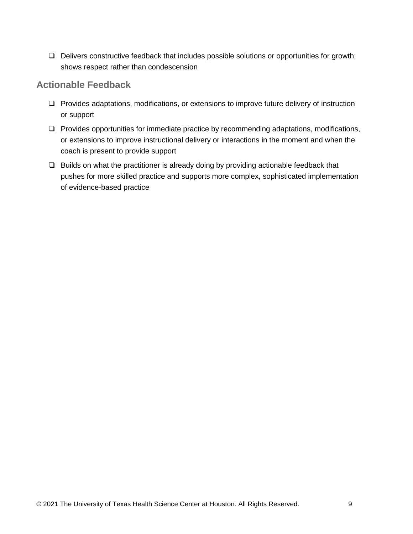❑ Delivers constructive feedback that includes possible solutions or opportunities for growth; shows respect rather than condescension

#### **Actionable Feedback**

- ❑ Provides adaptations, modifications, or extensions to improve future delivery of instruction or support
- ❑ Provides opportunities for immediate practice by recommending adaptations, modifications, or extensions to improve instructional delivery or interactions in the moment and when the coach is present to provide support
- ❑ Builds on what the practitioner is already doing by providing actionable feedback that pushes for more skilled practice and supports more complex, sophisticated implementation of evidence-based practice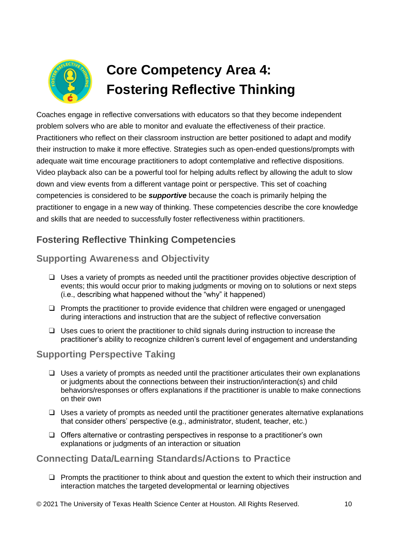

# **Core Competency Area 4: Fostering Reflective Thinking**

Coaches engage in reflective conversations with educators so that they become independent problem solvers who are able to monitor and evaluate the effectiveness of their practice. Practitioners who reflect on their classroom instruction are better positioned to adapt and modify their instruction to make it more effective. Strategies such as open-ended questions/prompts with adequate wait time encourage practitioners to adopt contemplative and reflective dispositions. Video playback also can be a powerful tool for helping adults reflect by allowing the adult to slow down and view events from a different vantage point or perspective. This set of coaching competencies is considered to be *supportive* because the coach is primarily helping the practitioner to engage in a new way of thinking. These competencies describe the core knowledge and skills that are needed to successfully foster reflectiveness within practitioners.

# **Fostering Reflective Thinking Competencies**

### **Supporting Awareness and Objectivity**

- ❑ Uses a variety of prompts as needed until the practitioner provides objective description of events; this would occur prior to making judgments or moving on to solutions or next steps (i.e., describing what happened without the "why" it happened)
- ❑ Prompts the practitioner to provide evidence that children were engaged or unengaged during interactions and instruction that are the subject of reflective conversation
- ❑ Uses cues to orient the practitioner to child signals during instruction to increase the practitioner's ability to recognize children's current level of engagement and understanding

#### **Supporting Perspective Taking**

- $\Box$  Uses a variety of prompts as needed until the practitioner articulates their own explanations or judgments about the connections between their instruction/interaction(s) and child behaviors/responses or offers explanations if the practitioner is unable to make connections on their own
- $\Box$  Uses a variety of prompts as needed until the practitioner generates alternative explanations that consider others' perspective (e.g., administrator, student, teacher, etc.)
- ❑ Offers alternative or contrasting perspectives in response to a practitioner's own explanations or judgments of an interaction or situation

### **Connecting Data/Learning Standards/Actions to Practice**

❑ Prompts the practitioner to think about and question the extent to which their instruction and interaction matches the targeted developmental or learning objectives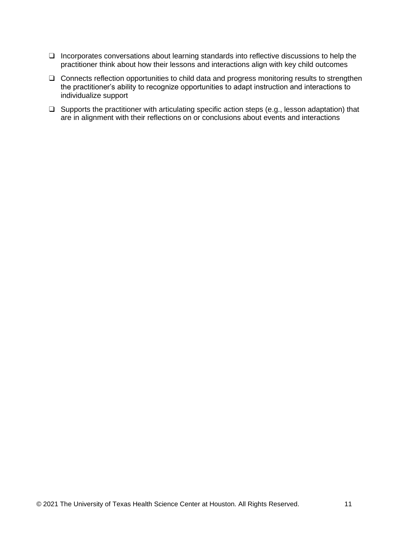- ❑ Incorporates conversations about learning standards into reflective discussions to help the practitioner think about how their lessons and interactions align with key child outcomes
- ❑ Connects reflection opportunities to child data and progress monitoring results to strengthen the practitioner's ability to recognize opportunities to adapt instruction and interactions to individualize support
- ❑ Supports the practitioner with articulating specific action steps (e.g., lesson adaptation) that are in alignment with their reflections on or conclusions about events and interactions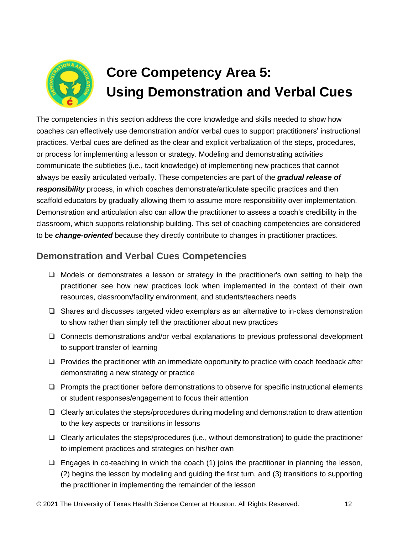

# **Core Competency Area 5: Using Demonstration and Verbal Cues**

The competencies in this section address the core knowledge and skills needed to show how coaches can effectively use demonstration and/or verbal cues to support practitioners' instructional practices. Verbal cues are defined as the clear and explicit verbalization of the steps, procedures, or process for implementing a lesson or strategy. Modeling and demonstrating activities communicate the subtleties (i.e., tacit knowledge) of implementing new practices that cannot always be easily articulated verbally. These competencies are part of the *gradual release of responsibility* process, in which coaches demonstrate/articulate specific practices and then scaffold educators by gradually allowing them to assume more responsibility over implementation. Demonstration and articulation also can allow the practitioner to assess a coach's credibility in the classroom, which supports relationship building. This set of coaching competencies are considered to be *change-oriented* because they directly contribute to changes in practitioner practices.

### **Demonstration and Verbal Cues Competencies**

- ❑ Models or demonstrates a lesson or strategy in the practitioner's own setting to help the practitioner see how new practices look when implemented in the context of their own resources, classroom/facility environment, and students/teachers needs
- ❑ Shares and discusses targeted video exemplars as an alternative to in-class demonstration to show rather than simply tell the practitioner about new practices
- ❑ Connects demonstrations and/or verbal explanations to previous professional development to support transfer of learning
- ❑ Provides the practitioner with an immediate opportunity to practice with coach feedback after demonstrating a new strategy or practice
- ❑ Prompts the practitioner before demonstrations to observe for specific instructional elements or student responses/engagement to focus their attention
- ❑ Clearly articulates the steps/procedures during modeling and demonstration to draw attention to the key aspects or transitions in lessons
- ❑ Clearly articulates the steps/procedures (i.e., without demonstration) to guide the practitioner to implement practices and strategies on his/her own
- $\Box$  Engages in co-teaching in which the coach (1) joins the practitioner in planning the lesson, (2) begins the lesson by modeling and guiding the first turn, and (3) transitions to supporting the practitioner in implementing the remainder of the lesson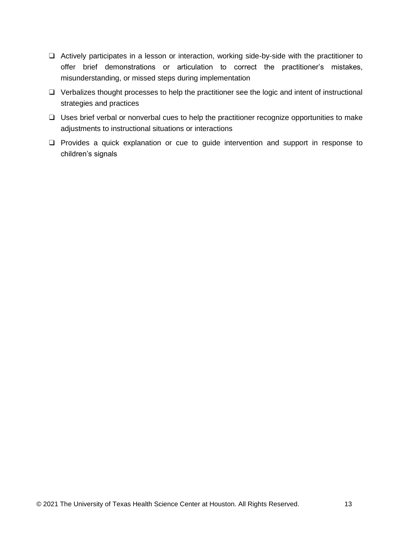- ❑ Actively participates in a lesson or interaction, working side-by-side with the practitioner to offer brief demonstrations or articulation to correct the practitioner's mistakes, misunderstanding, or missed steps during implementation
- ❑ Verbalizes thought processes to help the practitioner see the logic and intent of instructional strategies and practices
- ❑ Uses brief verbal or nonverbal cues to help the practitioner recognize opportunities to make adjustments to instructional situations or interactions
- ❑ Provides a quick explanation or cue to guide intervention and support in response to children's signals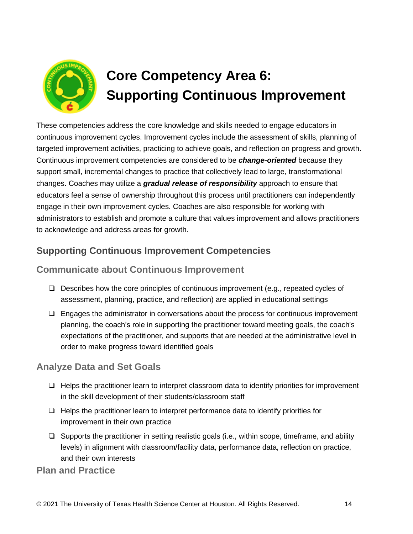

# **Core Competency Area 6: Supporting Continuous Improvement**

These competencies address the core knowledge and skills needed to engage educators in continuous improvement cycles. Improvement cycles include the assessment of skills, planning of targeted improvement activities, practicing to achieve goals, and reflection on progress and growth. Continuous improvement competencies are considered to be *change-oriented* because they support small, incremental changes to practice that collectively lead to large, transformational changes. Coaches may utilize a *gradual release of responsibility* approach to ensure that educators feel a sense of ownership throughout this process until practitioners can independently engage in their own improvement cycles. Coaches are also responsible for working with administrators to establish and promote a culture that values improvement and allows practitioners to acknowledge and address areas for growth.

### **Supporting Continuous Improvement Competencies**

### **Communicate about Continuous Improvement**

- ❑ Describes how the core principles of continuous improvement (e.g., repeated cycles of assessment, planning, practice, and reflection) are applied in educational settings
- ❑ Engages the administrator in conversations about the process for continuous improvement planning, the coach's role in supporting the practitioner toward meeting goals, the coach's expectations of the practitioner, and supports that are needed at the administrative level in order to make progress toward identified goals

### **Analyze Data and Set Goals**

- ❑ Helps the practitioner learn to interpret classroom data to identify priorities for improvement in the skill development of their students/classroom staff
- ❑ Helps the practitioner learn to interpret performance data to identify priorities for improvement in their own practice
- $\Box$  Supports the practitioner in setting realistic goals (i.e., within scope, timeframe, and ability levels) in alignment with classroom/facility data, performance data, reflection on practice, and their own interests

**Plan and Practice**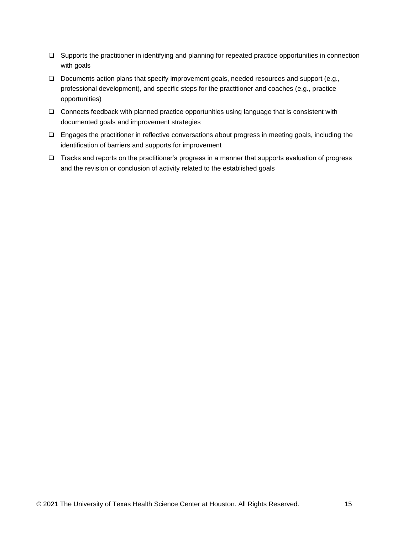- ❑ Supports the practitioner in identifying and planning for repeated practice opportunities in connection with goals
- ❑ Documents action plans that specify improvement goals, needed resources and support (e.g., professional development), and specific steps for the practitioner and coaches (e.g., practice opportunities)
- ❑ Connects feedback with planned practice opportunities using language that is consistent with documented goals and improvement strategies
- ❑ Engages the practitioner in reflective conversations about progress in meeting goals, including the identification of barriers and supports for improvement
- ❑ Tracks and reports on the practitioner's progress in a manner that supports evaluation of progress and the revision or conclusion of activity related to the established goals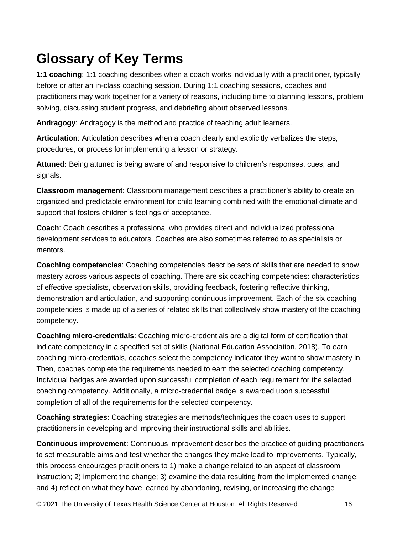# **Glossary of Key Terms**

**1:1 coaching**: 1:1 coaching describes when a coach works individually with a practitioner, typically before or after an in-class coaching session. During 1:1 coaching sessions, coaches and practitioners may work together for a variety of reasons, including time to planning lessons, problem solving, discussing student progress, and debriefing about observed lessons.

**Andragogy**: Andragogy is the method and practice of teaching adult learners.

**Articulation**: Articulation describes when a coach clearly and explicitly verbalizes the steps, procedures, or process for implementing a lesson or strategy.

**Attuned:** Being attuned is being aware of and responsive to children's responses, cues, and signals.

**Classroom management**: Classroom management describes a practitioner's ability to create an organized and predictable environment for child learning combined with the emotional climate and support that fosters children's feelings of acceptance.

**Coach**: Coach describes a professional who provides direct and individualized professional development services to educators. Coaches are also sometimes referred to as specialists or mentors.

**Coaching competencies**: Coaching competencies describe sets of skills that are needed to show mastery across various aspects of coaching. There are six coaching competencies: characteristics of effective specialists, observation skills, providing feedback, fostering reflective thinking, demonstration and articulation, and supporting continuous improvement. Each of the six coaching competencies is made up of a series of related skills that collectively show mastery of the coaching competency.

**Coaching micro-credentials**: Coaching micro-credentials are a digital form of certification that indicate competency in a specified set of skills (National Education Association, 2018). To earn coaching micro-credentials, coaches select the competency indicator they want to show mastery in. Then, coaches complete the requirements needed to earn the selected coaching competency. Individual badges are awarded upon successful completion of each requirement for the selected coaching competency. Additionally, a micro-credential badge is awarded upon successful completion of all of the requirements for the selected competency.

**Coaching strategies**: Coaching strategies are methods/techniques the coach uses to support practitioners in developing and improving their instructional skills and abilities.

**Continuous improvement**: Continuous improvement describes the practice of guiding practitioners to set measurable aims and test whether the changes they make lead to improvements. Typically, this process encourages practitioners to 1) make a change related to an aspect of classroom instruction; 2) implement the change; 3) examine the data resulting from the implemented change; and 4) reflect on what they have learned by abandoning, revising, or increasing the change

© 2021 The University of Texas Health Science Center at Houston. All Rights Reserved. 16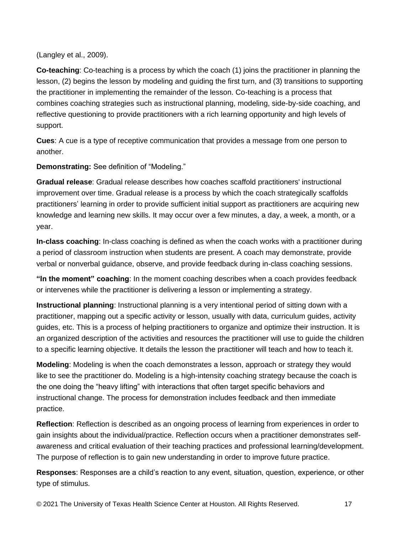(Langley et al., 2009).

**Co-teaching**: Co-teaching is a process by which the coach (1) joins the practitioner in planning the lesson, (2) begins the lesson by modeling and guiding the first turn, and (3) transitions to supporting the practitioner in implementing the remainder of the lesson. Co-teaching is a process that combines coaching strategies such as instructional planning, modeling, side-by-side coaching, and reflective questioning to provide practitioners with a rich learning opportunity and high levels of support.

**Cues**: A cue is a type of receptive communication that provides a message from one person to another.

**Demonstrating:** See definition of "Modeling."

**Gradual release**: Gradual release describes how coaches scaffold practitioners' instructional improvement over time. Gradual release is a process by which the coach strategically scaffolds practitioners' learning in order to provide sufficient initial support as practitioners are acquiring new knowledge and learning new skills. It may occur over a few minutes, a day, a week, a month, or a year.

**In-class coaching**: In-class coaching is defined as when the coach works with a practitioner during a period of classroom instruction when students are present. A coach may demonstrate, provide verbal or nonverbal guidance, observe, and provide feedback during in-class coaching sessions.

**"In the moment" coaching**: In the moment coaching describes when a coach provides feedback or intervenes while the practitioner is delivering a lesson or implementing a strategy.

**Instructional planning**: Instructional planning is a very intentional period of sitting down with a practitioner, mapping out a specific activity or lesson, usually with data, curriculum guides, activity guides, etc. This is a process of helping practitioners to organize and optimize their instruction. It is an organized description of the activities and resources the practitioner will use to guide the children to a specific learning objective. It details the lesson the practitioner will teach and how to teach it.

**Modeling**: Modeling is when the coach demonstrates a lesson, approach or strategy they would like to see the practitioner do. Modeling is a high-intensity coaching strategy because the coach is the one doing the "heavy lifting" with interactions that often target specific behaviors and instructional change. The process for demonstration includes feedback and then immediate practice.

**Reflection**: Reflection is described as an ongoing process of learning from experiences in order to gain insights about the individual/practice. Reflection occurs when a practitioner demonstrates selfawareness and critical evaluation of their teaching practices and professional learning/development. The purpose of reflection is to gain new understanding in order to improve future practice.

**Responses**: Responses are a child's reaction to any event, situation, question, experience, or other type of stimulus.